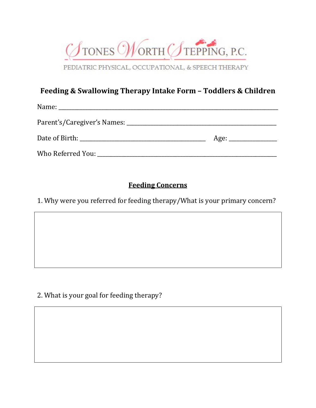

PEDIATRIC PHYSICAL, OCCUPATIONAL, & SPEECH THERAPY

#### **Feeding & Swallowing Therapy Intake Form – Toddlers & Children**

| Date of Birth: National Account of Birth: | Age: |
|-------------------------------------------|------|
|                                           |      |

# **Feeding Concerns**

1. Why were you referred for feeding therapy/What is your primary concern?

2. What is your goal for feeding therapy?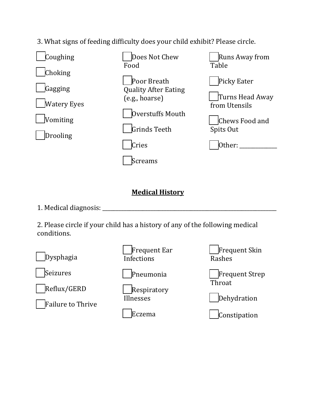3. What signs of feeding difficulty does your child exhibit? Please circle.



### **Medical History**

1. Medical diagnosis: \_\_\_\_\_\_\_\_\_\_\_\_\_\_\_\_\_\_\_\_\_\_\_\_\_\_\_\_\_\_\_\_\_\_\_\_\_\_\_\_\_\_\_\_\_\_\_\_\_\_\_\_\_\_\_\_\_\_\_\_\_\_\_\_\_

2. Please circle if your child has a history of any of the following medical conditions.

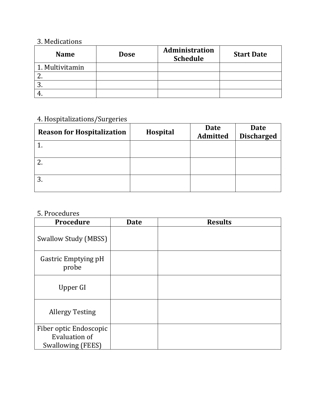# 3. Medications

| <b>Name</b>     | <b>Dose</b> | Administration<br><b>Schedule</b> | <b>Start Date</b> |
|-----------------|-------------|-----------------------------------|-------------------|
| 1. Multivitamin |             |                                   |                   |
|                 |             |                                   |                   |
|                 |             |                                   |                   |
|                 |             |                                   |                   |

# 4. Hospitalizations/Surgeries

| <b>Reason for Hospitalization</b> | <b>Hospital</b> | <b>Date</b><br><b>Admitted</b> | Date<br><b>Discharged</b> |
|-----------------------------------|-----------------|--------------------------------|---------------------------|
|                                   |                 |                                |                           |
| ົາ<br>۷.                          |                 |                                |                           |
| 3.                                |                 |                                |                           |

### 5. Procedures

| Procedure                    | <b>Date</b> | <b>Results</b> |
|------------------------------|-------------|----------------|
| <b>Swallow Study (MBSS)</b>  |             |                |
| Gastric Emptying pH<br>probe |             |                |
| Upper GI                     |             |                |
| <b>Allergy Testing</b>       |             |                |
| Fiber optic Endoscopic       |             |                |
| Evaluation of                |             |                |
| Swallowing (FEES)            |             |                |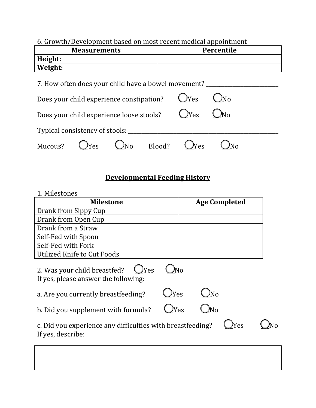#### 6. Growth/Development based on most recent medical appointment

|         | <b>Measurements</b> | Percentile |
|---------|---------------------|------------|
| Height: |                     |            |
| Weight: |                     |            |

# 7. How often does your child have a bowel movement? \_\_\_\_\_\_\_\_\_\_\_\_\_\_\_\_\_\_\_\_\_\_\_\_\_\_\_\_

| Does your child experience constipation? $Q$ Yes        |  | $O_{N_{0}}$ |  |
|---------------------------------------------------------|--|-------------|--|
| Does your child experience loose stools? $Q$ Yes $Q$ No |  |             |  |
| Typical consistency of stools:                          |  |             |  |
| Mucous? $QYes$ $QNo$ Blood? $QYes$                      |  |             |  |

# **Developmental Feeding History**

### 1. Milestones

| <b>Milestone</b>                                                                      |     |          | <b>Age Completed</b> |  |
|---------------------------------------------------------------------------------------|-----|----------|----------------------|--|
| Drank from Sippy Cup                                                                  |     |          |                      |  |
| Drank from Open Cup                                                                   |     |          |                      |  |
| Drank from a Straw                                                                    |     |          |                      |  |
| Self-Fed with Spoon                                                                   |     |          |                      |  |
| Self-Fed with Fork                                                                    |     |          |                      |  |
| Utilized Knife to Cut Foods                                                           |     |          |                      |  |
| $\bigcup$ Yes<br>2. Was your child breastfed?<br>If yes, please answer the following: |     |          |                      |  |
| a. Are you currently breastfeeding?                                                   |     | $\sigma$ |                      |  |
| b. Did you supplement with formula?                                                   | Yes |          |                      |  |
| c. Did you experience any difficulties with breastfeeding?<br>If yes, describe:       |     |          | Zes                  |  |
|                                                                                       |     |          |                      |  |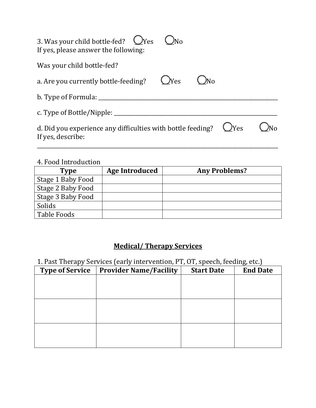| 3. Was your child bottle-fed? $\bigcirc$ Yes<br>If yes, please answer the following: |               |               |  |
|--------------------------------------------------------------------------------------|---------------|---------------|--|
| Was your child bottle-fed?                                                           |               |               |  |
| a. Are you currently bottle-feeding?                                                 | $\bigcup$ Yes |               |  |
| b. Type of Formula:                                                                  |               |               |  |
| c. Type of Bottle/Nipple: ______                                                     |               |               |  |
| d. Did you experience any difficulties with bottle feeding?<br>If yes, describe:     |               | $\bigcup$ Yes |  |

#### 4. Food Introduction

| <b>Type</b>       | <b>Age Introduced</b> | <b>Any Problems?</b> |
|-------------------|-----------------------|----------------------|
| Stage 1 Baby Food |                       |                      |
| Stage 2 Baby Food |                       |                      |
| Stage 3 Baby Food |                       |                      |
| Solids            |                       |                      |
| Table Foods       |                       |                      |

# **Medical/ Therapy Services**

1. Past Therapy Services (early intervention, PT, OT, speech, feeding, etc.)

| <b>Type of Service</b> | <b>Provider Name/Facility</b> | <b>Start Date</b> | <b>End Date</b> |
|------------------------|-------------------------------|-------------------|-----------------|
|                        |                               |                   |                 |
|                        |                               |                   |                 |
|                        |                               |                   |                 |
|                        |                               |                   |                 |
|                        |                               |                   |                 |
|                        |                               |                   |                 |
|                        |                               |                   |                 |
|                        |                               |                   |                 |
|                        |                               |                   |                 |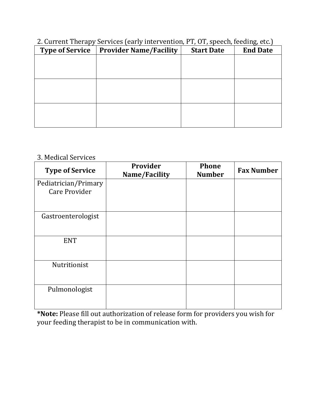### 2. Current Therapy Services (early intervention, PT, OT, speech, feeding, etc.)

| <b>Type of Service</b> | <b>Provider Name/Facility</b> | <b>Start Date</b> | <b>End Date</b> |
|------------------------|-------------------------------|-------------------|-----------------|
|                        |                               |                   |                 |
|                        |                               |                   |                 |
|                        |                               |                   |                 |
|                        |                               |                   |                 |
|                        |                               |                   |                 |
|                        |                               |                   |                 |
|                        |                               |                   |                 |
|                        |                               |                   |                 |
|                        |                               |                   |                 |

#### 3. Medical Services

| <b>Type of Service</b> | Provider<br>Name/Facility | <b>Phone</b><br><b>Number</b> | <b>Fax Number</b> |
|------------------------|---------------------------|-------------------------------|-------------------|
| Pediatrician/Primary   |                           |                               |                   |
| <b>Care Provider</b>   |                           |                               |                   |
|                        |                           |                               |                   |
|                        |                           |                               |                   |
| Gastroenterologist     |                           |                               |                   |
|                        |                           |                               |                   |
|                        |                           |                               |                   |
| <b>ENT</b>             |                           |                               |                   |
|                        |                           |                               |                   |
|                        |                           |                               |                   |
| Nutritionist           |                           |                               |                   |
|                        |                           |                               |                   |
|                        |                           |                               |                   |
| Pulmonologist          |                           |                               |                   |
|                        |                           |                               |                   |
|                        |                           |                               |                   |

**\*Note:** Please fill out authorization of release form for providers you wish for your feeding therapist to be in communication with.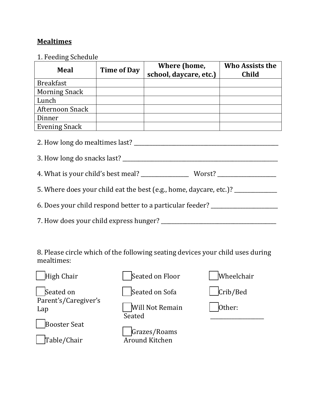#### **Mealtimes**

1. Feeding Schedule

| <b>Meal</b>                                                   | <b>Time of Day</b> | Where (home,<br>school, daycare, etc.) | Who Assists the<br><b>Child</b> |  |
|---------------------------------------------------------------|--------------------|----------------------------------------|---------------------------------|--|
| <b>Breakfast</b>                                              |                    |                                        |                                 |  |
| <b>Morning Snack</b>                                          |                    |                                        |                                 |  |
| Lunch                                                         |                    |                                        |                                 |  |
| <b>Afternoon Snack</b>                                        |                    |                                        |                                 |  |
| Dinner                                                        |                    |                                        |                                 |  |
| <b>Evening Snack</b>                                          |                    |                                        |                                 |  |
| 2. How long do mealtimes last?<br>3. How long do snacks last? |                    |                                        |                                 |  |

- 4. What is your child's best meal? \_\_\_\_\_\_\_\_\_\_\_\_\_\_\_\_\_\_ Worst? \_\_\_\_\_\_\_\_\_\_\_\_\_\_\_\_\_\_\_\_\_\_
- 5. Where does your child eat the best (e.g., home, daycare, etc.)? \_\_\_\_\_\_\_\_\_\_\_\_\_
- 6. Does your child respond better to a particular feeder? \_\_\_\_\_\_\_\_\_\_\_\_\_\_\_\_\_\_\_\_\_\_
- 7. How does your child express hunger? \_\_\_\_\_\_\_\_\_\_\_\_\_\_\_\_\_\_\_\_\_\_\_\_\_\_\_\_\_\_\_\_\_\_\_\_\_\_\_\_\_\_\_

8. Please circle which of the following seating devices your child uses during mealtimes:

| High Chair                  | Seated on Floor                       | Wheelchair |
|-----------------------------|---------------------------------------|------------|
| Seated on                   | Seated on Sofa                        | Crib/Bed   |
| Parent's/Caregiver's<br>Lap | Will Not Remain<br>Seated             | Other:     |
| <b>Booster Seat</b>         |                                       |            |
| Table/Chair                 | Grazes/Roams<br><b>Around Kitchen</b> |            |